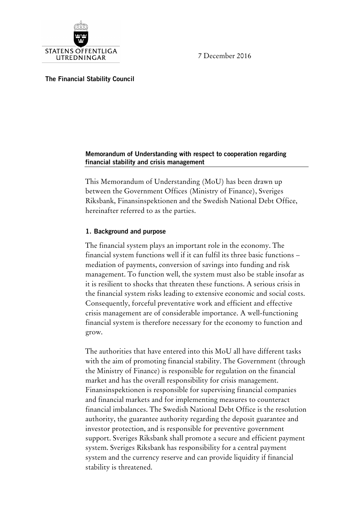7 December 2016



**The Financial Stability Council**

### **Memorandum of Understanding with respect to cooperation regarding financial stability and crisis management**

This Memorandum of Understanding (MoU) has been drawn up between the Government Offices (Ministry of Finance), Sveriges Riksbank, Finansinspektionen and the Swedish National Debt Office, hereinafter referred to as the parties.

## **1. Background and purpose**

The financial system plays an important role in the economy. The financial system functions well if it can fulfil its three basic functions – mediation of payments, conversion of savings into funding and risk management. To function well, the system must also be stable insofar as it is resilient to shocks that threaten these functions. A serious crisis in the financial system risks leading to extensive economic and social costs. Consequently, forceful preventative work and efficient and effective crisis management are of considerable importance. A well-functioning financial system is therefore necessary for the economy to function and grow.

The authorities that have entered into this MoU all have different tasks with the aim of promoting financial stability. The Government (through the Ministry of Finance) is responsible for regulation on the financial market and has the overall responsibility for crisis management. Finansinspektionen is responsible for supervising financial companies and financial markets and for implementing measures to counteract financial imbalances. The Swedish National Debt Office is the resolution authority, the guarantee authority regarding the deposit guarantee and investor protection, and is responsible for preventive government support. Sveriges Riksbank shall promote a secure and efficient payment system. Sveriges Riksbank has responsibility for a central payment system and the currency reserve and can provide liquidity if financial stability is threatened.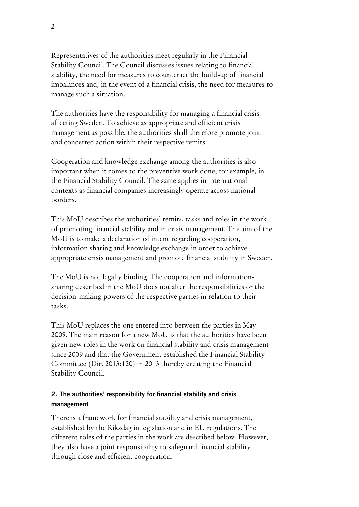Representatives of the authorities meet regularly in the Financial Stability Council. The Council discusses issues relating to financial stability, the need for measures to counteract the build-up of financial imbalances and, in the event of a financial crisis, the need for measures to manage such a situation.

The authorities have the responsibility for managing a financial crisis affecting Sweden. To achieve as appropriate and efficient crisis management as possible, the authorities shall therefore promote joint and concerted action within their respective remits.

Cooperation and knowledge exchange among the authorities is also important when it comes to the preventive work done, for example, in the Financial Stability Council. The same applies in international contexts as financial companies increasingly operate across national borders.

This MoU describes the authorities' remits, tasks and roles in the work of promoting financial stability and in crisis management. The aim of the MoU is to make a declaration of intent regarding cooperation, information sharing and knowledge exchange in order to achieve appropriate crisis management and promote financial stability in Sweden.

The MoU is not legally binding. The cooperation and informationsharing described in the MoU does not alter the responsibilities or the decision-making powers of the respective parties in relation to their tasks.

This MoU replaces the one entered into between the parties in May 2009. The main reason for a new MoU is that the authorities have been given new roles in the work on financial stability and crisis management since 2009 and that the Government established the Financial Stability Committee (Dir. 2013:120) in 2013 thereby creating the Financial Stability Council.

## **2. The authorities' responsibility for financial stability and crisis management**

There is a framework for financial stability and crisis management, established by the Riksdag in legislation and in EU regulations. The different roles of the parties in the work are described below. However, they also have a joint responsibility to safeguard financial stability through close and efficient cooperation.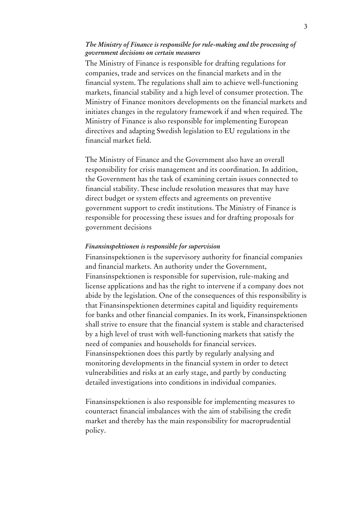#### *The Ministry of Finance is responsible for rule-making and the processing of government decisions on certain measures*

The Ministry of Finance is responsible for drafting regulations for companies, trade and services on the financial markets and in the financial system. The regulations shall aim to achieve well-functioning markets, financial stability and a high level of consumer protection. The Ministry of Finance monitors developments on the financial markets and initiates changes in the regulatory framework if and when required. The Ministry of Finance is also responsible for implementing European directives and adapting Swedish legislation to EU regulations in the financial market field.

The Ministry of Finance and the Government also have an overall responsibility for crisis management and its coordination. In addition, the Government has the task of examining certain issues connected to financial stability. These include resolution measures that may have direct budget or system effects and agreements on preventive government support to credit institutions. The Ministry of Finance is responsible for processing these issues and for drafting proposals for government decisions

#### *Finansinspektionen is responsible for supervision*

Finansinspektionen is the supervisory authority for financial companies and financial markets. An authority under the Government, Finansinspektionen is responsible for supervision, rule-making and license applications and has the right to intervene if a company does not abide by the legislation. One of the consequences of this responsibility is that Finansinspektionen determines capital and liquidity requirements for banks and other financial companies. In its work, Finansinspektionen shall strive to ensure that the financial system is stable and characterised by a high level of trust with well-functioning markets that satisfy the need of companies and households for financial services. Finansinspektionen does this partly by regularly analysing and monitoring developments in the financial system in order to detect vulnerabilities and risks at an early stage, and partly by conducting detailed investigations into conditions in individual companies.

Finansinspektionen is also responsible for implementing measures to counteract financial imbalances with the aim of stabilising the credit market and thereby has the main responsibility for macroprudential policy.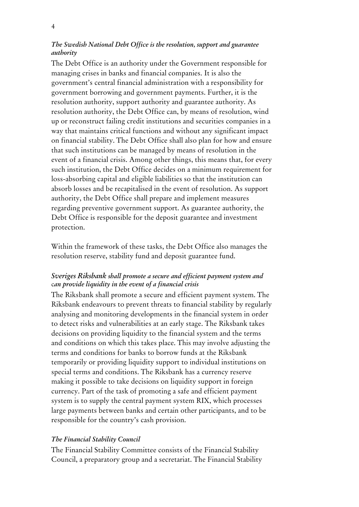## *The Swedish National Debt Office is the resolution, support and guarantee authority*

The Debt Office is an authority under the Government responsible for managing crises in banks and financial companies. It is also the government's central financial administration with a responsibility for government borrowing and government payments. Further, it is the resolution authority, support authority and guarantee authority. As resolution authority, the Debt Office can, by means of resolution, wind up or reconstruct failing credit institutions and securities companies in a way that maintains critical functions and without any significant impact on financial stability. The Debt Office shall also plan for how and ensure that such institutions can be managed by means of resolution in the event of a financial crisis. Among other things, this means that, for every such institution, the Debt Office decides on a minimum requirement for loss-absorbing capital and eligible liabilities so that the institution can absorb losses and be recapitalised in the event of resolution. As support authority, the Debt Office shall prepare and implement measures regarding preventive government support. As guarantee authority, the Debt Office is responsible for the deposit guarantee and investment protection.

Within the framework of these tasks, the Debt Office also manages the resolution reserve, stability fund and deposit guarantee fund.

## *Sveriges Riksbank shall promote a secure and efficient payment system and*  c*an provide liquidity in the event of a financial crisis*

The Riksbank shall promote a secure and efficient payment system. The Riksbank endeavours to prevent threats to financial stability by regularly analysing and monitoring developments in the financial system in order to detect risks and vulnerabilities at an early stage. The Riksbank takes decisions on providing liquidity to the financial system and the terms and conditions on which this takes place. This may involve adjusting the terms and conditions for banks to borrow funds at the Riksbank temporarily or providing liquidity support to individual institutions on special terms and conditions. The Riksbank has a currency reserve making it possible to take decisions on liquidity support in foreign currency. Part of the task of promoting a safe and efficient payment system is to supply the central payment system RIX, which processes large payments between banks and certain other participants, and to be responsible for the country's cash provision.

### *The Financial Stability Council*

The Financial Stability Committee consists of the Financial Stability Council, a preparatory group and a secretariat. The Financial Stability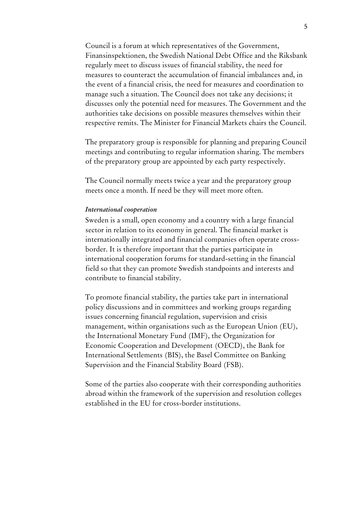Council is a forum at which representatives of the Government, Finansinspektionen, the Swedish National Debt Office and the Riksbank regularly meet to discuss issues of financial stability, the need for measures to counteract the accumulation of financial imbalances and, in the event of a financial crisis, the need for measures and coordination to manage such a situation. The Council does not take any decisions; it discusses only the potential need for measures. The Government and the authorities take decisions on possible measures themselves within their respective remits. The Minister for Financial Markets chairs the Council.

The preparatory group is responsible for planning and preparing Council meetings and contributing to regular information sharing. The members of the preparatory group are appointed by each party respectively.

The Council normally meets twice a year and the preparatory group meets once a month. If need be they will meet more often.

#### *International cooperation*

Sweden is a small, open economy and a country with a large financial sector in relation to its economy in general. The financial market is internationally integrated and financial companies often operate crossborder. It is therefore important that the parties participate in international cooperation forums for standard-setting in the financial field so that they can promote Swedish standpoints and interests and contribute to financial stability.

To promote financial stability, the parties take part in international policy discussions and in committees and working groups regarding issues concerning financial regulation, supervision and crisis management, within organisations such as the European Union (EU), the International Monetary Fund (IMF), the Organization for Economic Cooperation and Development (OECD), the Bank for International Settlements (BIS), the Basel Committee on Banking Supervision and the Financial Stability Board (FSB).

Some of the parties also cooperate with their corresponding authorities abroad within the framework of the supervision and resolution colleges established in the EU for cross-border institutions.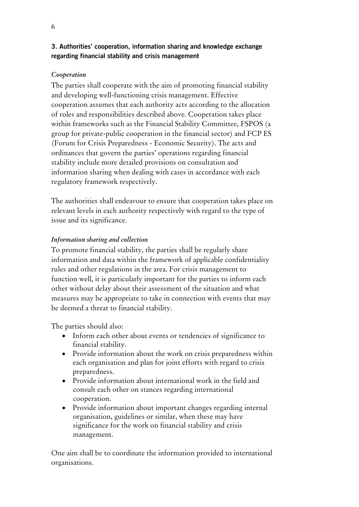# **3. Authorities' cooperation, information sharing and knowledge exchange regarding financial stability and crisis management**

## *Cooperation*

The parties shall cooperate with the aim of promoting financial stability and developing well-functioning crisis management. Effective cooperation assumes that each authority acts according to the allocation of roles and responsibilities described above. Cooperation takes place within frameworks such as the Financial Stability Committee, FSPOS (a group for private-public cooperation in the financial sector) and FCP ES (Forum for Crisis Preparedness - Economic Security). The acts and ordinances that govern the parties' operations regarding financial stability include more detailed provisions on consultation and information sharing when dealing with cases in accordance with each regulatory framework respectively.

The authorities shall endeavour to ensure that cooperation takes place on relevant levels in each authority respectively with regard to the type of issue and its significance.

# *Information sharing and collection*

To promote financial stability, the parties shall be regularly share information and data within the framework of applicable confidentiality rules and other regulations in the area. For crisis management to function well, it is particularly important for the parties to inform each other without delay about their assessment of the situation and what measures may be appropriate to take in connection with events that may be deemed a threat to financial stability.

The parties should also:

- Inform each other about events or tendencies of significance to financial stability.
- Provide information about the work on crisis preparedness within each organisation and plan for joint efforts with regard to crisis preparedness.
- Provide information about international work in the field and consult each other on stances regarding international cooperation.
- Provide information about important changes regarding internal organisation, guidelines or similar, when these may have significance for the work on financial stability and crisis management.

One aim shall be to coordinate the information provided to international organisations.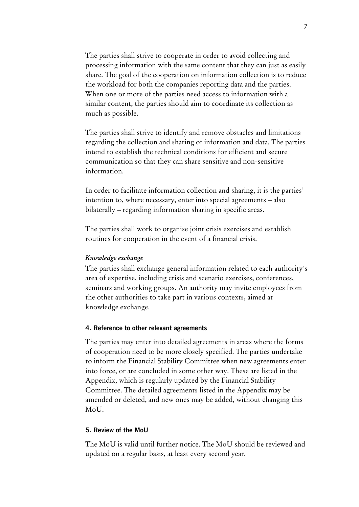The parties shall strive to cooperate in order to avoid collecting and processing information with the same content that they can just as easily share. The goal of the cooperation on information collection is to reduce the workload for both the companies reporting data and the parties. When one or more of the parties need access to information with a similar content, the parties should aim to coordinate its collection as much as possible.

The parties shall strive to identify and remove obstacles and limitations regarding the collection and sharing of information and data. The parties intend to establish the technical conditions for efficient and secure communication so that they can share sensitive and non-sensitive information.

In order to facilitate information collection and sharing, it is the parties' intention to, where necessary, enter into special agreements – also bilaterally – regarding information sharing in specific areas.

The parties shall work to organise joint crisis exercises and establish routines for cooperation in the event of a financial crisis.

### *Knowledge exchange*

The parties shall exchange general information related to each authority's area of expertise, including crisis and scenario exercises, conferences, seminars and working groups. An authority may invite employees from the other authorities to take part in various contexts, aimed at knowledge exchange.

#### **4. Reference to other relevant agreements**

The parties may enter into detailed agreements in areas where the forms of cooperation need to be more closely specified. The parties undertake to inform the Financial Stability Committee when new agreements enter into force, or are concluded in some other way. These are listed in the Appendix, which is regularly updated by the Financial Stability Committee. The detailed agreements listed in the Appendix may be amended or deleted, and new ones may be added, without changing this MoU.

#### **5. Review of the MoU**

The MoU is valid until further notice. The MoU should be reviewed and updated on a regular basis, at least every second year.